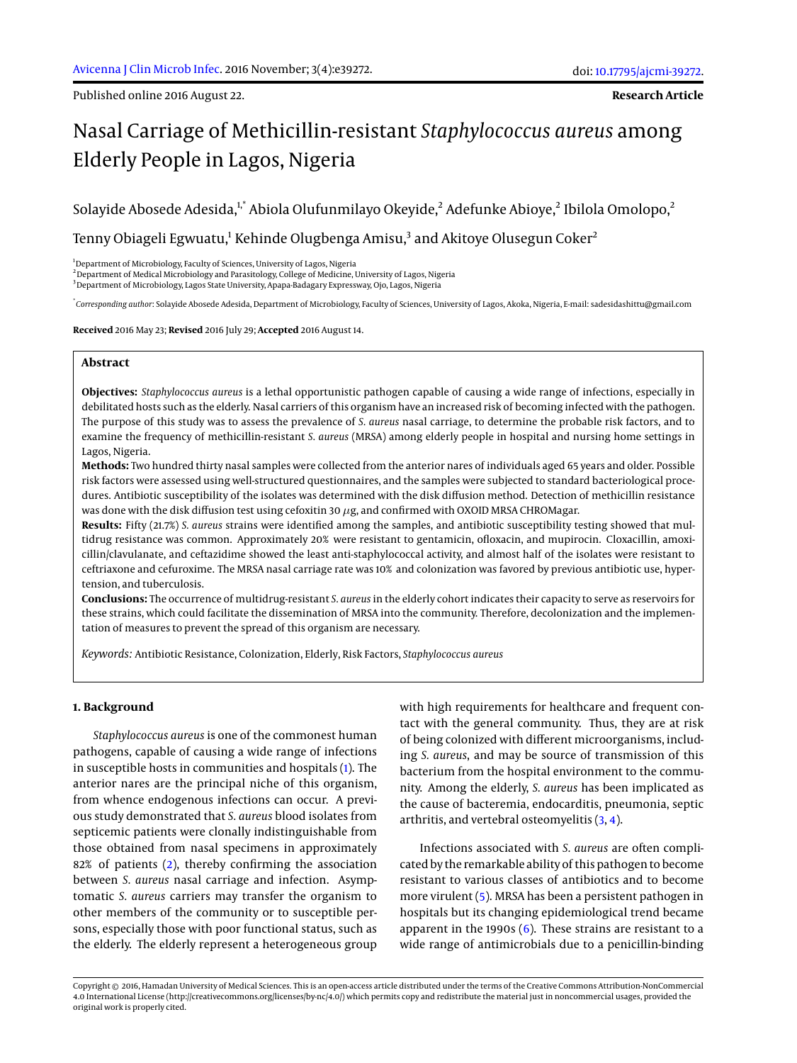Published online 2016 August 22.

**Research Article**

# Nasal Carriage of Methicillin-resistant *Staphylococcus aureus* among Elderly People in Lagos, Nigeria

Solayide Abosede Adesida,<sup>1,\*</sup> Abiola Olufunmilayo Okeyide,<sup>2</sup> Adefunke Abioye,<sup>2</sup> Ibilola Omolopo,<sup>2</sup>

Tenny Obiageli Egwuatu, $^1$  Kehinde Olugbenga Amisu, $^3$  and Akitoye Olusegun Coker $^2$ 

<sup>1</sup>Department of Microbiology, Faculty of Sciences, University of Lagos, Nigeria

<sup>2</sup> Department of Medical Microbiology and Parasitology, College of Medicine, University of Lagos, Nigeria

<sup>3</sup> Department of Microbiology, Lagos State University, Apapa-Badagary Expressway, Ojo, Lagos, Nigeria

\* *Corresponding author*: Solayide Abosede Adesida, Department of Microbiology, Faculty of Sciences, University of Lagos, Akoka, Nigeria, E-mail: sadesidashittu@gmail.com

**Received** 2016 May 23; **Revised** 2016 July 29; **Accepted** 2016 August 14.

# **Abstract**

**Objectives:** *Staphylococcus aureus* is a lethal opportunistic pathogen capable of causing a wide range of infections, especially in debilitated hosts such as the elderly. Nasal carriers of this organism have an increased risk of becoming infected with the pathogen. The purpose of this study was to assess the prevalence of *S. aureus* nasal carriage, to determine the probable risk factors, and to examine the frequency of methicillin-resistant *S. aureus* (MRSA) among elderly people in hospital and nursing home settings in Lagos, Nigeria.

**Methods:** Two hundred thirty nasal samples were collected from the anterior nares of individuals aged 65 years and older. Possible risk factors were assessed using well-structured questionnaires, and the samples were subjected to standard bacteriological procedures. Antibiotic susceptibility of the isolates was determined with the disk diffusion method. Detection of methicillin resistance was done with the disk diffusion test using cefoxitin 30  $\mu$ g, and confirmed with OXOID MRSA CHROMagar.

**Results:** Fifty (21.7%) *S. aureus* strains were identified among the samples, and antibiotic susceptibility testing showed that multidrug resistance was common. Approximately 20% were resistant to gentamicin, ofloxacin, and mupirocin. Cloxacillin, amoxicillin/clavulanate, and ceftazidime showed the least anti-staphylococcal activity, and almost half of the isolates were resistant to ceftriaxone and cefuroxime. The MRSA nasal carriage rate was 10% and colonization was favored by previous antibiotic use, hypertension, and tuberculosis.

**Conclusions:** The occurrence of multidrug-resistant *S. aureus* in the elderly cohort indicates their capacity to serve as reservoirs for these strains, which could facilitate the dissemination of MRSA into the community. Therefore, decolonization and the implementation of measures to prevent the spread of this organism are necessary.

*Keywords:* Antibiotic Resistance, Colonization, Elderly, Risk Factors, *Staphylococcus aureus*

## **1. Background**

*Staphylococcus aureus* is one of the commonest human pathogens, capable of causing a wide range of infections in susceptible hosts in communities and hospitals [\(1\)](#page-4-0). The anterior nares are the principal niche of this organism, from whence endogenous infections can occur. A previous study demonstrated that *S. aureus* blood isolates from septicemic patients were clonally indistinguishable from those obtained from nasal specimens in approximately 82% of patients [\(2\)](#page-4-1), thereby confirming the association between *S. aureus* nasal carriage and infection. Asymptomatic *S. aureus* carriers may transfer the organism to other members of the community or to susceptible persons, especially those with poor functional status, such as the elderly. The elderly represent a heterogeneous group

with high requirements for healthcare and frequent contact with the general community. Thus, they are at risk of being colonized with different microorganisms, including *S. aureus*, and may be source of transmission of this bacterium from the hospital environment to the community. Among the elderly, *S. aureus* has been implicated as the cause of bacteremia, endocarditis, pneumonia, septic arthritis, and vertebral osteomyelitis [\(3,](#page-5-0) [4\)](#page-5-1).

Infections associated with *S. aureus* are often complicated by the remarkable ability of this pathogen to become resistant to various classes of antibiotics and to become more virulent [\(5\)](#page-5-2). MRSA has been a persistent pathogen in hospitals but its changing epidemiological trend became apparent in the 1990s  $(6)$ . These strains are resistant to a wide range of antimicrobials due to a penicillin-binding

Copyright © 2016, Hamadan University of Medical Sciences. This is an open-access article distributed under the terms of the Creative Commons Attribution-NonCommercial 4.0 International License (http://creativecommons.org/licenses/by-nc/4.0/) which permits copy and redistribute the material just in noncommercial usages, provided the original work is properly cited.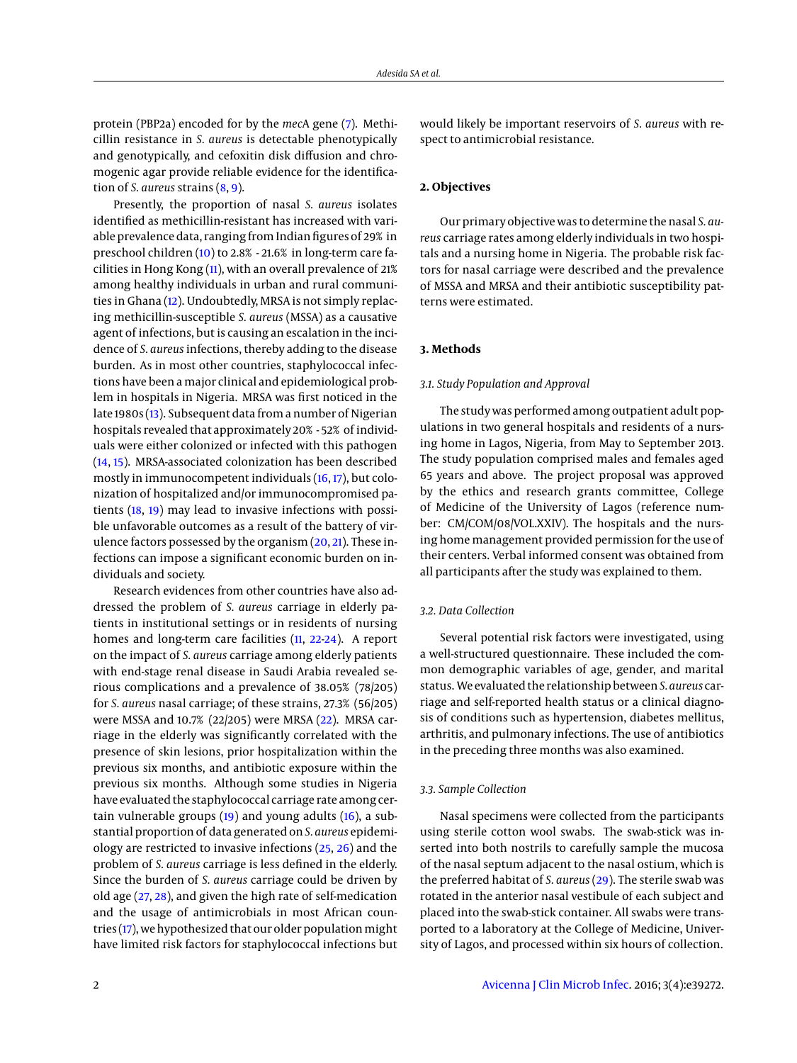protein (PBP2a) encoded for by the *mec*A gene [\(7\)](#page-5-4). Methicillin resistance in *S. aureus* is detectable phenotypically and genotypically, and cefoxitin disk diffusion and chromogenic agar provide reliable evidence for the identification of *S. aureus* strains [\(8,](#page-5-5) [9\)](#page-5-6).

Presently, the proportion of nasal *S. aureus* isolates identified as methicillin-resistant has increased with variable prevalence data, ranging from Indian figures of 29% in preschool children [\(10\)](#page-5-7) to 2.8% - 21.6% in long-term care facilities in Hong Kong [\(11\)](#page-5-8), with an overall prevalence of 21% among healthy individuals in urban and rural communities in Ghana [\(12\)](#page-5-9). Undoubtedly, MRSA is not simply replacing methicillin-susceptible *S. aureus* (MSSA) as a causative agent of infections, but is causing an escalation in the incidence of *S. aureus* infections, thereby adding to the disease burden. As in most other countries, staphylococcal infections have been a major clinical and epidemiological problem in hospitals in Nigeria. MRSA was first noticed in the late 1980s [\(13\)](#page-5-10). Subsequent data from a number of Nigerian hospitals revealed that approximately 20% - 52% of individuals were either colonized or infected with this pathogen [\(14,](#page-5-11) [15\)](#page-5-12). MRSA-associated colonization has been described mostly in immunocompetent individuals [\(16,](#page-5-13) [17\)](#page-5-14), but colonization of hospitalized and/or immunocompromised patients [\(18,](#page-5-15) [19\)](#page-5-16) may lead to invasive infections with possible unfavorable outcomes as a result of the battery of virulence factors possessed by the organism  $(20, 21)$  $(20, 21)$  $(20, 21)$ . These infections can impose a significant economic burden on individuals and society.

Research evidences from other countries have also addressed the problem of *S. aureus* carriage in elderly patients in institutional settings or in residents of nursing homes and long-term care facilities [\(11,](#page-5-8) [22](#page-5-19)[-24\)](#page-5-20). A report on the impact of *S. aureus* carriage among elderly patients with end-stage renal disease in Saudi Arabia revealed serious complications and a prevalence of 38.05% (78/205) for *S. aureus* nasal carriage; of these strains, 27.3% (56/205) were MSSA and 10.7% (22/205) were MRSA [\(22\)](#page-5-19). MRSA carriage in the elderly was significantly correlated with the presence of skin lesions, prior hospitalization within the previous six months, and antibiotic exposure within the previous six months. Although some studies in Nigeria have evaluated the staphylococcal carriage rate among certain vulnerable groups [\(19\)](#page-5-16) and young adults [\(16\)](#page-5-13), a substantial proportion of data generated on*S. aureus* epidemiology are restricted to invasive infections [\(25,](#page-5-21) [26\)](#page-5-22) and the problem of *S. aureus* carriage is less defined in the elderly. Since the burden of *S. aureus* carriage could be driven by old age [\(27,](#page-5-23) [28\)](#page-5-24), and given the high rate of self-medication and the usage of antimicrobials in most African countries  $(17)$ , we hypothesized that our older population might have limited risk factors for staphylococcal infections but

would likely be important reservoirs of *S. aureus* with respect to antimicrobial resistance.

## **2. Objectives**

Our primary objective was to determine the nasal *S. aureus* carriage rates among elderly individuals in two hospitals and a nursing home in Nigeria. The probable risk factors for nasal carriage were described and the prevalence of MSSA and MRSA and their antibiotic susceptibility patterns were estimated.

# **3. Methods**

#### *3.1. Study Population and Approval*

The study was performed among outpatient adult populations in two general hospitals and residents of a nursing home in Lagos, Nigeria, from May to September 2013. The study population comprised males and females aged 65 years and above. The project proposal was approved by the ethics and research grants committee, College of Medicine of the University of Lagos (reference number: CM/COM/08/VOL.XXIV). The hospitals and the nursing home management provided permission for the use of their centers. Verbal informed consent was obtained from all participants after the study was explained to them.

#### *3.2. Data Collection*

Several potential risk factors were investigated, using a well-structured questionnaire. These included the common demographic variables of age, gender, and marital status. We evaluated the relationship between*S. aureus* carriage and self-reported health status or a clinical diagnosis of conditions such as hypertension, diabetes mellitus, arthritis, and pulmonary infections. The use of antibiotics in the preceding three months was also examined.

#### *3.3. Sample Collection*

Nasal specimens were collected from the participants using sterile cotton wool swabs. The swab-stick was inserted into both nostrils to carefully sample the mucosa of the nasal septum adjacent to the nasal ostium, which is the preferred habitat of *S. aureus* [\(29\)](#page-5-25). The sterile swab was rotated in the anterior nasal vestibule of each subject and placed into the swab-stick container. All swabs were transported to a laboratory at the College of Medicine, University of Lagos, and processed within six hours of collection.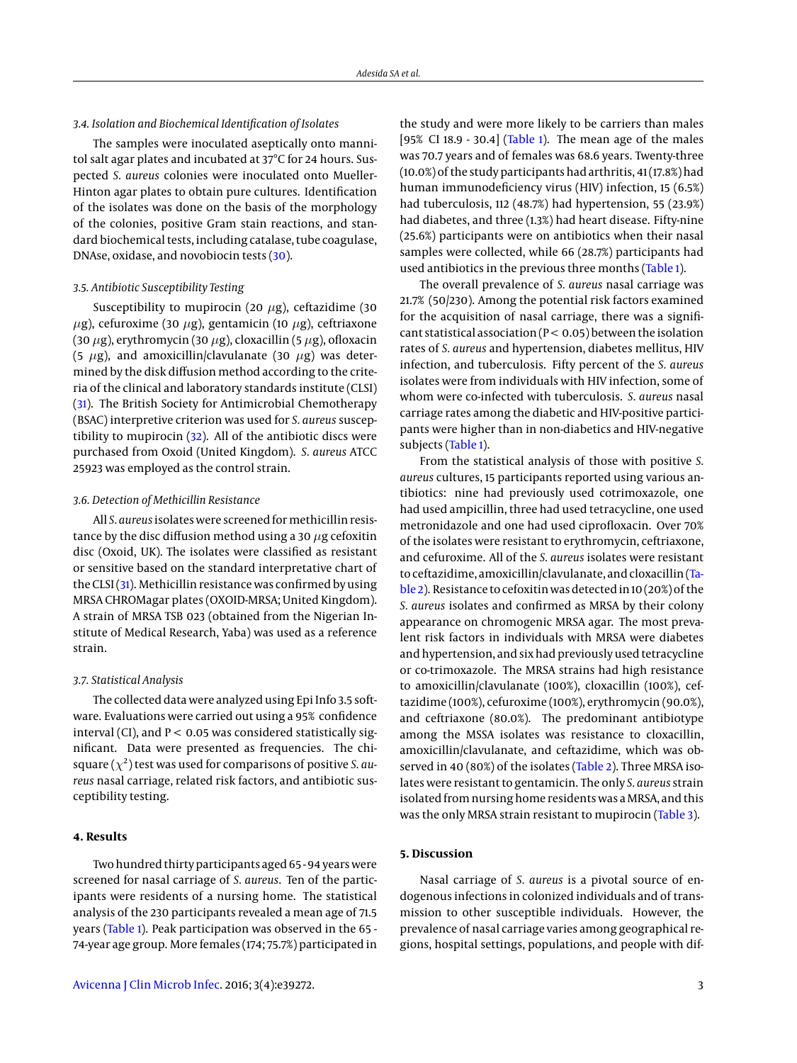## *3.4. Isolation and Biochemical Identification of Isolates*

The samples were inoculated aseptically onto mannitol salt agar plates and incubated at 37°C for 24 hours. Suspected *S. aureus* colonies were inoculated onto Mueller-Hinton agar plates to obtain pure cultures. Identification of the isolates was done on the basis of the morphology of the colonies, positive Gram stain reactions, and standard biochemical tests, including catalase, tube coagulase, DNAse, oxidase, and novobiocin tests [\(30\)](#page-5-26).

## *3.5. Antibiotic Susceptibility Testing*

Susceptibility to mupirocin (20  $\mu$ g), ceftazidime (30  $\mu$ g), cefuroxime (30  $\mu$ g), gentamicin (10  $\mu$ g), ceftriaxone (30  $\mu$ g), erythromycin (30  $\mu$ g), cloxacillin (5  $\mu$ g), ofloxacin (5  $\mu$ g), and amoxicillin/clavulanate (30  $\mu$ g) was determined by the disk diffusion method according to the criteria of the clinical and laboratory standards institute (CLSI) [\(31\)](#page-5-27). The British Society for Antimicrobial Chemotherapy (BSAC) interpretive criterion was used for *S. aureus* susceptibility to mupirocin [\(32\)](#page-5-28). All of the antibiotic discs were purchased from Oxoid (United Kingdom). *S. aureus* ATCC 25923 was employed as the control strain.

# *3.6. Detection of Methicillin Resistance*

All *S. aureus* isolates were screened formethicillin resistance by the disc diffusion method using a 30  $\mu$ g cefoxitin disc (Oxoid, UK). The isolates were classified as resistant or sensitive based on the standard interpretative chart of the CLSI [\(31\)](#page-5-27). Methicillin resistance was confirmed by using MRSA CHROMagar plates (OXOID-MRSA; United Kingdom). A strain of MRSA TSB 023 (obtained from the Nigerian Institute of Medical Research, Yaba) was used as a reference strain.

# *3.7. Statistical Analysis*

The collected data were analyzed using Epi Info 3.5 software. Evaluations were carried out using a 95% confidence interval (CI), and  $P < 0.05$  was considered statistically significant. Data were presented as frequencies. The chisquare  $(\chi^2)$  test was used for comparisons of positive *S. aureus* nasal carriage, related risk factors, and antibiotic susceptibility testing.

# **4. Results**

Two hundred thirty participants aged 65 - 94 years were screened for nasal carriage of *S. aureus*. Ten of the participants were residents of a nursing home. The statistical analysis of the 230 participants revealed a mean age of 71.5 years [\(Table 1\)](#page-7-0). Peak participation was observed in the 65 - 74-year age group. More females (174; 75.7%) participated in

the study and were more likely to be carriers than males [95% CI 18.9 - 30.4] [\(Table 1\)](#page-7-0). The mean age of the males was 70.7 years and of females was 68.6 years. Twenty-three (10.0%) of the study participants had arthritis, 41 (17.8%) had human immunodeficiency virus (HIV) infection, 15 (6.5%) had tuberculosis, 112 (48.7%) had hypertension, 55 (23.9%) had diabetes, and three (1.3%) had heart disease. Fifty-nine (25.6%) participants were on antibiotics when their nasal samples were collected, while 66 (28.7%) participants had used antibiotics in the previous three months [\(Table 1\)](#page-7-0).

The overall prevalence of *S. aureus* nasal carriage was 21.7% (50/230). Among the potential risk factors examined for the acquisition of nasal carriage, there was a significant statistical association ( $P < 0.05$ ) between the isolation rates of *S. aureus* and hypertension, diabetes mellitus, HIV infection, and tuberculosis. Fifty percent of the *S. aureus* isolates were from individuals with HIV infection, some of whom were co-infected with tuberculosis. *S. aureus* nasal carriage rates among the diabetic and HIV-positive participants were higher than in non-diabetics and HIV-negative subjects [\(Table 1\)](#page-7-0).

From the statistical analysis of those with positive *S. aureus* cultures, 15 participants reported using various antibiotics: nine had previously used cotrimoxazole, one had used ampicillin, three had used tetracycline, one used metronidazole and one had used ciprofloxacin. Over 70% of the isolates were resistant to erythromycin, ceftriaxone, and cefuroxime. All of the *S. aureus* isolates were resistant to ceftazidime, amoxicillin/clavulanate, and cloxacillin [\(Ta](#page-3-0)[ble 2\)](#page-3-0). Resistance to cefoxitin was detected in 10 (20%) of the *S. aureus* isolates and confirmed as MRSA by their colony appearance on chromogenic MRSA agar. The most prevalent risk factors in individuals with MRSA were diabetes and hypertension, and six had previously used tetracycline or co-trimoxazole. The MRSA strains had high resistance to amoxicillin/clavulanate (100%), cloxacillin (100%), ceftazidime (100%), cefuroxime (100%), erythromycin (90.0%), and ceftriaxone (80.0%). The predominant antibiotype among the MSSA isolates was resistance to cloxacillin, amoxicillin/clavulanate, and ceftazidime, which was ob-served in 40 (80%) of the isolates [\(Table 2\)](#page-3-0). Three MRSA isolates were resistant to gentamicin. The only *S. aureus* strain isolated from nursing home residents was a MRSA, and this was the only MRSA strain resistant to mupirocin [\(Table 3\)](#page-4-2).

#### **5. Discussion**

Nasal carriage of *S. aureus* is a pivotal source of endogenous infections in colonized individuals and of transmission to other susceptible individuals. However, the prevalence of nasal carriage varies among geographical regions, hospital settings, populations, and people with dif-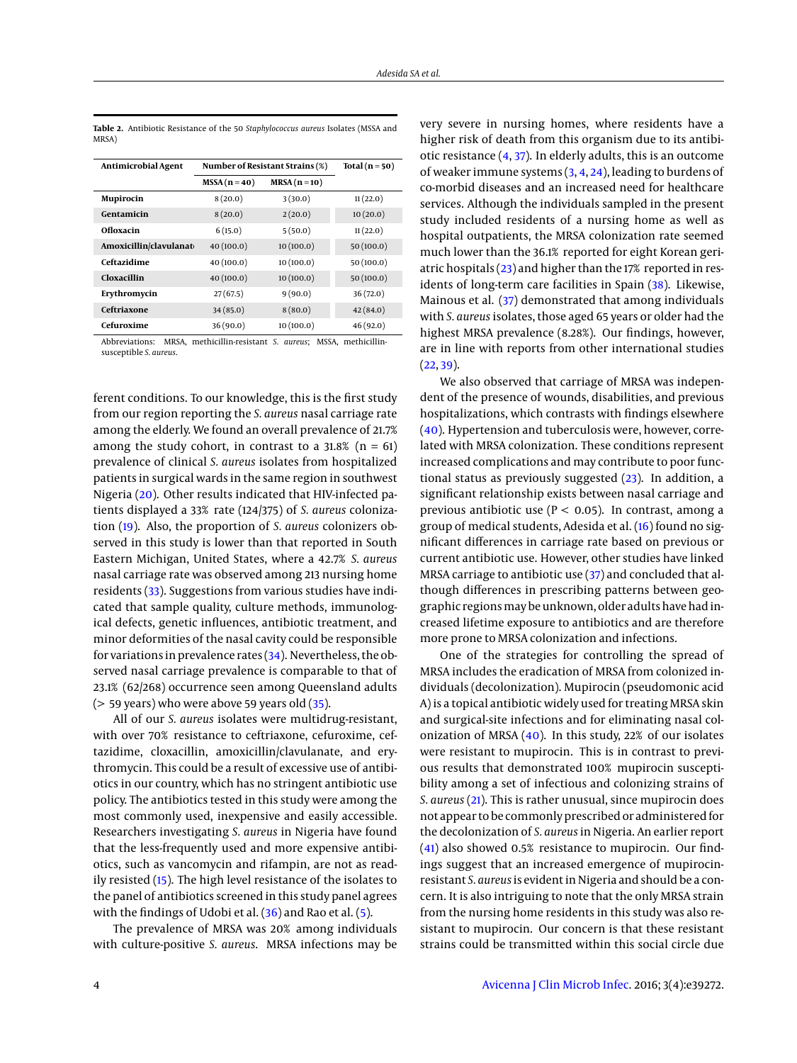| Antimicrobial Agent     | Number of Resistant Strains (%) | Total $(n=50)$ |           |
|-------------------------|---------------------------------|----------------|-----------|
|                         | $MSSA (n=40)$                   | $MRSA(n=10)$   |           |
| Mupirocin               | 8(20.0)                         | 3(30.0)        | 11(22.0)  |
| Gentamicin              | 8(20.0)                         | 2(20.0)        | 10(20.0)  |
| Ofloxacin               | 6(15.0)                         | 5(50.0)        | 11(22.0)  |
| Amoxicillin/clavulanato | 40(100.0)                       | 10(100.0)      | 50(100.0) |
| Ceftazidime             | 40(100.0)                       | 10(100.0)      | 50(100.0) |
| Cloxacillin             | 40(100.0)                       | 10(100.0)      | 50(100.0) |
| Erythromycin            | 27(67.5)                        | 9(90.0)        | 36(72.0)  |
| Ceftriaxone             | 34(85.0)                        | 8(80.0)        | 42(84.0)  |
| Cefuroxime              | 36(90.0)                        | 10(100.0)      | 46(92.0)  |

<span id="page-3-0"></span>**Table 2.** Antibiotic Resistance of the 50 *Staphylococcus aureus* Isolates (MSSA and MRSA)

Abbreviations: MRSA, methicillin-resistant *S. aureus*; MSSA, methicillinsusceptible *S. aureus*.

ferent conditions. To our knowledge, this is the first study from our region reporting the *S. aureus* nasal carriage rate among the elderly. We found an overall prevalence of 21.7% among the study cohort, in contrast to a  $31.8\%$  (n = 61) prevalence of clinical *S. aureus* isolates from hospitalized patients in surgical wards in the same region in southwest Nigeria [\(20\)](#page-5-17). Other results indicated that HIV-infected patients displayed a 33% rate (124/375) of *S. aureus* colonization [\(19\)](#page-5-16). Also, the proportion of *S. aureus* colonizers observed in this study is lower than that reported in South Eastern Michigan, United States, where a 42.7% *S. aureus* nasal carriage rate was observed among 213 nursing home residents [\(33\)](#page-5-29). Suggestions from various studies have indicated that sample quality, culture methods, immunological defects, genetic influences, antibiotic treatment, and minor deformities of the nasal cavity could be responsible for variations in prevalence rates  $(34)$ . Nevertheless, the observed nasal carriage prevalence is comparable to that of 23.1% (62/268) occurrence seen among Queensland adults  $($  > 59 years) who were above 59 years old  $(35)$ .

All of our *S. aureus* isolates were multidrug-resistant, with over 70% resistance to ceftriaxone, cefuroxime, ceftazidime, cloxacillin, amoxicillin/clavulanate, and erythromycin. This could be a result of excessive use of antibiotics in our country, which has no stringent antibiotic use policy. The antibiotics tested in this study were among the most commonly used, inexpensive and easily accessible. Researchers investigating *S. aureus* in Nigeria have found that the less-frequently used and more expensive antibiotics, such as vancomycin and rifampin, are not as readily resisted [\(15\)](#page-5-12). The high level resistance of the isolates to the panel of antibiotics screened in this study panel agrees with the findings of Udobi et al.  $(36)$  and Rao et al.  $(5)$ .

The prevalence of MRSA was 20% among individuals with culture-positive *S. aureus*. MRSA infections may be very severe in nursing homes, where residents have a higher risk of death from this organism due to its antibiotic resistance [\(4,](#page-5-1) [37\)](#page-6-1). In elderly adults, this is an outcome of weaker immune systems [\(3,](#page-5-0) [4,](#page-5-1) [24\)](#page-5-20), leading to burdens of co-morbid diseases and an increased need for healthcare services. Although the individuals sampled in the present study included residents of a nursing home as well as hospital outpatients, the MRSA colonization rate seemed much lower than the 36.1% reported for eight Korean geriatric hospitals [\(23\)](#page-5-32) and higher than the 17% reported in residents of long-term care facilities in Spain [\(38\)](#page-6-2). Likewise, Mainous et al. [\(37\)](#page-6-1) demonstrated that among individuals with *S. aureus* isolates, those aged 65 years or older had the highest MRSA prevalence (8.28%). Our findings, however, are in line with reports from other international studies  $(22, 39)$  $(22, 39)$  $(22, 39)$ .

We also observed that carriage of MRSA was independent of the presence of wounds, disabilities, and previous hospitalizations, which contrasts with findings elsewhere [\(40\)](#page-6-4). Hypertension and tuberculosis were, however, correlated with MRSA colonization. These conditions represent increased complications and may contribute to poor functional status as previously suggested [\(23\)](#page-5-32). In addition, a significant relationship exists between nasal carriage and previous antibiotic use ( $P < 0.05$ ). In contrast, among a group of medical students, Adesida et al. [\(16\)](#page-5-13) found no significant differences in carriage rate based on previous or current antibiotic use. However, other studies have linked MRSA carriage to antibiotic use [\(37\)](#page-6-1) and concluded that although differences in prescribing patterns between geographic regionsmay be unknown, older adults have had increased lifetime exposure to antibiotics and are therefore more prone to MRSA colonization and infections.

One of the strategies for controlling the spread of MRSA includes the eradication of MRSA from colonized individuals (decolonization). Mupirocin (pseudomonic acid A) is a topical antibiotic widely used for treating MRSA skin and surgical-site infections and for eliminating nasal colonization of MRSA  $(40)$ . In this study, 22% of our isolates were resistant to mupirocin. This is in contrast to previous results that demonstrated 100% mupirocin susceptibility among a set of infectious and colonizing strains of *S. aureus* [\(21\)](#page-5-18). This is rather unusual, since mupirocin does not appear to be commonly prescribed or administered for the decolonization of *S. aureus* in Nigeria. An earlier report [\(41\)](#page-6-5) also showed 0.5% resistance to mupirocin. Our findings suggest that an increased emergence of mupirocinresistant *S. aureus* is evident in Nigeria and should be a concern. It is also intriguing to note that the only MRSA strain from the nursing home residents in this study was also resistant to mupirocin. Our concern is that these resistant strains could be transmitted within this social circle due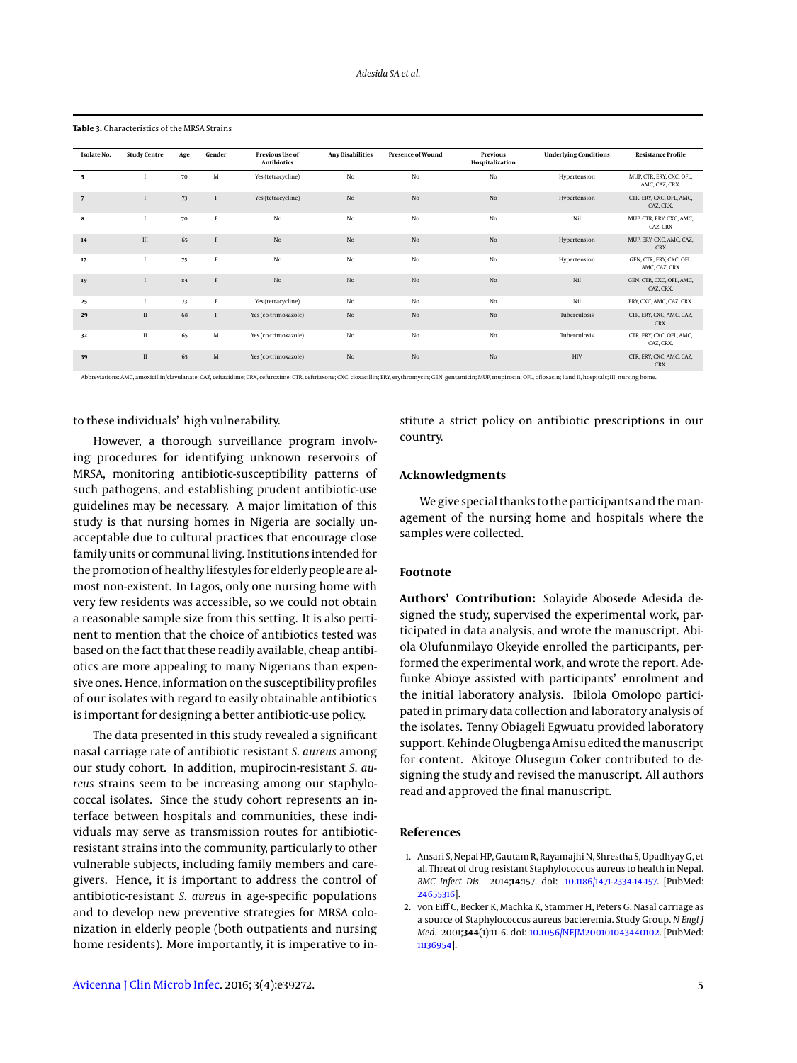| Isolate No. | <b>Study Centre</b> | Age | Gender      | <b>Previous Use of</b><br><b>Antibiotics</b> | <b>Any Disabilities</b> | <b>Presence of Wound</b> | Previous<br>Hospitalization | <b>Underlying Conditions</b> | <b>Resistance Profile</b>                  |
|-------------|---------------------|-----|-------------|----------------------------------------------|-------------------------|--------------------------|-----------------------------|------------------------------|--------------------------------------------|
| - 5         |                     | 70  | M           | Yes (tetracycline)                           | No                      | No                       | No                          | Hypertension                 | MUP, CTR, ERY, CXC, OFL,<br>AMC, CAZ, CRX. |
| 7           |                     | 73  | F           | Yes (tetracycline)                           | No                      | No                       | No                          | Hypertension                 | CTR, ERY, CXC, OFL, AMC,<br>CAZ, CRX.      |
| 8           |                     | 70  | F           | No                                           | No                      | No                       | No                          | Nil                          | MUP, CTR, ERY, CXC, AMC,<br>CAZ, CRX       |
| 14          | $\mathbf{H}$        | 65  | F           | No                                           | No                      | No                       | No                          | Hypertension                 | MUP, ERY, CXC, AMC, CAZ,<br><b>CRX</b>     |
| 17          |                     | 75  | $\mathbf F$ | No                                           | No                      | No                       | No                          | Hypertension                 | GEN, CTR, ERY, CXC, OFL,<br>AMC, CAZ, CRX  |
| 19          |                     | 84  | F           | No                                           | No                      | No                       | No                          | Nil                          | GEN, CTR, CXC, OFL, AMC,<br>CAZ, CRX.      |
| 25          |                     | 73  | F           | Yes (tetracycline)                           | No                      | No                       | No                          | Nil                          | ERY, CXC, AMC, CAZ, CRX.                   |
| 29          | $\rm II$            | 68  | F           | Yes (co-trimoxazole)                         | No                      | No                       | No                          | Tuberculosis                 | CTR, ERY, CXC, AMC, CAZ,<br>CRX.           |
| 32          | П                   | 65  | M           | Yes (co-trimoxazole)                         | No                      | No                       | No                          | Tuberculosis                 | CTR, ERY, CXC, OFL, AMC,<br>CAZ, CRX.      |
| 39          | $\;$ II             | 65  | $\mathbf M$ | Yes (co-trimoxazole)                         | No                      | No                       | No                          | HIV                          | CTR, ERY, CXC, AMC, CAZ,<br>CRX.           |

<span id="page-4-2"></span>**Table 3.** Characteristics of the MRSA Strains

Abbreviations: AMC, amoxicillin/clavulanate; CAZ, ceftazidime; CRX, cefuroxime; CTR, ceftriaxone; CXC, cloxacillin; ERY, erythromycin; GEN, gentamicin; MUP, mupirocin; OFL, ofloxacin; I and II, hospitals; III, nursing home.

to these individuals' high vulnerability.

However, a thorough surveillance program involving procedures for identifying unknown reservoirs of MRSA, monitoring antibiotic-susceptibility patterns of such pathogens, and establishing prudent antibiotic-use guidelines may be necessary. A major limitation of this study is that nursing homes in Nigeria are socially unacceptable due to cultural practices that encourage close family units or communal living. Institutions intended for the promotion of healthy lifestyles for elderly people are almost non-existent. In Lagos, only one nursing home with very few residents was accessible, so we could not obtain a reasonable sample size from this setting. It is also pertinent to mention that the choice of antibiotics tested was based on the fact that these readily available, cheap antibiotics are more appealing to many Nigerians than expensive ones. Hence, information on the susceptibility profiles of our isolates with regard to easily obtainable antibiotics is important for designing a better antibiotic-use policy.

The data presented in this study revealed a significant nasal carriage rate of antibiotic resistant *S. aureus* among our study cohort. In addition, mupirocin-resistant *S. aureus* strains seem to be increasing among our staphylococcal isolates. Since the study cohort represents an interface between hospitals and communities, these individuals may serve as transmission routes for antibioticresistant strains into the community, particularly to other vulnerable subjects, including family members and caregivers. Hence, it is important to address the control of antibiotic-resistant *S. aureus* in age-specific populations and to develop new preventive strategies for MRSA colonization in elderly people (both outpatients and nursing home residents). More importantly, it is imperative to in-

stitute a strict policy on antibiotic prescriptions in our country.

## **Acknowledgments**

We give special thanks to the participants and the management of the nursing home and hospitals where the samples were collected.

# **Footnote**

**Authors' Contribution:** Solayide Abosede Adesida designed the study, supervised the experimental work, participated in data analysis, and wrote the manuscript. Abiola Olufunmilayo Okeyide enrolled the participants, performed the experimental work, and wrote the report. Adefunke Abioye assisted with participants' enrolment and the initial laboratory analysis. Ibilola Omolopo participated in primary data collection and laboratory analysis of the isolates. Tenny Obiageli Egwuatu provided laboratory support. Kehinde Olugbenga Amisu edited the manuscript for content. Akitoye Olusegun Coker contributed to designing the study and revised the manuscript. All authors read and approved the final manuscript.

#### **References**

- <span id="page-4-0"></span>1. Ansari S, Nepal HP, Gautam R, Rayamajhi N, Shrestha S, Upadhyay G, et al. Threat of drug resistant Staphylococcus aureus to health in Nepal. *BMC Infect Dis.* 2014;**14**:157. doi: [10.1186/1471-2334-14-157.](http://dx.doi.org/10.1186/1471-2334-14-157) [PubMed: [24655316\]](http://www.ncbi.nlm.nih.gov/pubmed/24655316).
- <span id="page-4-1"></span>2. von Eiff C, Becker K, Machka K, Stammer H, Peters G. Nasal carriage as a source of Staphylococcus aureus bacteremia. Study Group. *N Engl J Med.* 2001;**344**(1):11–6. doi: [10.1056/NEJM200101043440102.](http://dx.doi.org/10.1056/NEJM200101043440102) [PubMed: [11136954\]](http://www.ncbi.nlm.nih.gov/pubmed/11136954).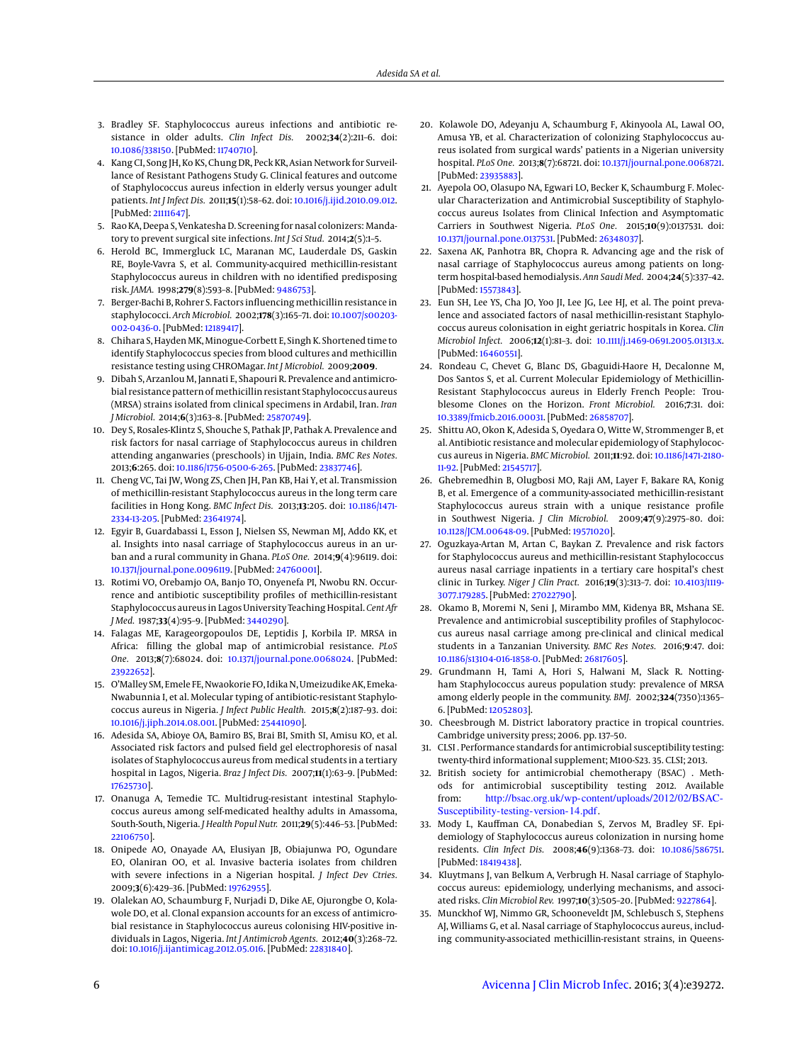- <span id="page-5-0"></span>3. Bradley SF. Staphylococcus aureus infections and antibiotic resistance in older adults. *Clin Infect Dis.* 2002;**34**(2):211–6. doi: [10.1086/338150.](http://dx.doi.org/10.1086/338150) [PubMed: [11740710\]](http://www.ncbi.nlm.nih.gov/pubmed/11740710).
- <span id="page-5-1"></span>4. Kang CI, Song JH, Ko KS, Chung DR, Peck KR, Asian Network for Surveillance of Resistant Pathogens Study G. Clinical features and outcome of Staphylococcus aureus infection in elderly versus younger adult patients. *Int J Infect Dis.* 2011;**15**(1):58–62. doi: [10.1016/j.ijid.2010.09.012.](http://dx.doi.org/10.1016/j.ijid.2010.09.012) [PubMed: [21111647\]](http://www.ncbi.nlm.nih.gov/pubmed/21111647).
- <span id="page-5-2"></span>5. Rao KA, Deepa S, Venkatesha D. Screening for nasal colonizers: Mandatory to prevent surgical site infections. *Int J Sci Stud.* 2014;**2**(5):1–5.
- <span id="page-5-3"></span>6. Herold BC, Immergluck LC, Maranan MC, Lauderdale DS, Gaskin RE, Boyle-Vavra S, et al. Community-acquired methicillin-resistant Staphylococcus aureus in children with no identified predisposing risk. *JAMA.* 1998;**279**(8):593–8. [PubMed: [9486753\]](http://www.ncbi.nlm.nih.gov/pubmed/9486753).
- <span id="page-5-4"></span>7. Berger-Bachi B, Rohrer S. Factors influencing methicillin resistance in staphylococci. *Arch Microbiol.* 2002;**178**(3):165–71. doi: [10.1007/s00203-](http://dx.doi.org/10.1007/s00203-002-0436-0) [002-0436-0.](http://dx.doi.org/10.1007/s00203-002-0436-0) [PubMed: [12189417\]](http://www.ncbi.nlm.nih.gov/pubmed/12189417).
- <span id="page-5-5"></span>8. Chihara S, Hayden MK, Minogue-Corbett E, Singh K. Shortened time to identify Staphylococcus species from blood cultures and methicillin resistance testing using CHROMagar. *Int J Microbiol.* 2009;**2009**.
- <span id="page-5-6"></span>9. Dibah S, Arzanlou M, Jannati E, Shapouri R. Prevalence and antimicrobial resistance pattern of methicillin resistant Staphylococcus aureus (MRSA) strains isolated from clinical specimens in Ardabil, Iran. *Iran J Microbiol.* 2014;**6**(3):163–8. [PubMed: [25870749\]](http://www.ncbi.nlm.nih.gov/pubmed/25870749).
- <span id="page-5-7"></span>10. Dey S, Rosales-Klintz S, Shouche S, Pathak JP, Pathak A. Prevalence and risk factors for nasal carriage of Staphylococcus aureus in children attending anganwaries (preschools) in Ujjain, India. *BMC Res Notes.* 2013;**6**:265. doi: [10.1186/1756-0500-6-265.](http://dx.doi.org/10.1186/1756-0500-6-265) [PubMed: [23837746\]](http://www.ncbi.nlm.nih.gov/pubmed/23837746).
- <span id="page-5-8"></span>11. Cheng VC, Tai JW, Wong ZS, Chen JH, Pan KB, Hai Y, et al. Transmission of methicillin-resistant Staphylococcus aureus in the long term care facilities in Hong Kong. *BMC Infect Dis.* 2013;**13**:205. doi: [10.1186/1471-](http://dx.doi.org/10.1186/1471-2334-13-205) [2334-13-205.](http://dx.doi.org/10.1186/1471-2334-13-205) [PubMed: [23641974\]](http://www.ncbi.nlm.nih.gov/pubmed/23641974).
- <span id="page-5-9"></span>12. Egyir B, Guardabassi L, Esson J, Nielsen SS, Newman MJ, Addo KK, et al. Insights into nasal carriage of Staphylococcus aureus in an urban and a rural community in Ghana. *PLoS One.* 2014;**9**(4):96119. doi: [10.1371/journal.pone.0096119.](http://dx.doi.org/10.1371/journal.pone.0096119) [PubMed: [24760001\]](http://www.ncbi.nlm.nih.gov/pubmed/24760001).
- <span id="page-5-10"></span>13. Rotimi VO, Orebamjo OA, Banjo TO, Onyenefa PI, Nwobu RN. Occurrence and antibiotic susceptibility profiles of methicillin-resistant Staphylococcus aureus in Lagos University Teaching Hospital. *Cent Afr J Med.* 1987;**33**(4):95–9. [PubMed: [3440290\]](http://www.ncbi.nlm.nih.gov/pubmed/3440290).
- <span id="page-5-11"></span>14. Falagas ME, Karageorgopoulos DE, Leptidis J, Korbila IP. MRSA in Africa: filling the global map of antimicrobial resistance. *PLoS One.* 2013;**8**(7):68024. doi: [10.1371/journal.pone.0068024.](http://dx.doi.org/10.1371/journal.pone.0068024) [PubMed: [23922652\]](http://www.ncbi.nlm.nih.gov/pubmed/23922652).
- <span id="page-5-12"></span>15. O'Malley SM, Emele FE, Nwaokorie FO, Idika N, Umeizudike AK, Emeka-Nwabunnia I, et al. Molecular typing of antibiotic-resistant Staphylococcus aureus in Nigeria. *J Infect Public Health.* 2015;**8**(2):187–93. doi: [10.1016/j.jiph.2014.08.001.](http://dx.doi.org/10.1016/j.jiph.2014.08.001) [PubMed: [25441090\]](http://www.ncbi.nlm.nih.gov/pubmed/25441090).
- <span id="page-5-13"></span>16. Adesida SA, Abioye OA, Bamiro BS, Brai BI, Smith SI, Amisu KO, et al. Associated risk factors and pulsed field gel electrophoresis of nasal isolates of Staphylococcus aureus from medical students in a tertiary hospital in Lagos, Nigeria. *Braz J Infect Dis.* 2007;**11**(1):63–9. [PubMed: [17625730\]](http://www.ncbi.nlm.nih.gov/pubmed/17625730).
- <span id="page-5-14"></span>17. Onanuga A, Temedie TC. Multidrug-resistant intestinal Staphylococcus aureus among self-medicated healthy adults in Amassoma, South-South, Nigeria. *J Health Popul Nutr.* 2011;**29**(5):446–53. [PubMed: [22106750\]](http://www.ncbi.nlm.nih.gov/pubmed/22106750).
- <span id="page-5-15"></span>18. Onipede AO, Onayade AA, Elusiyan JB, Obiajunwa PO, Ogundare EO, Olaniran OO, et al. Invasive bacteria isolates from children with severe infections in a Nigerian hospital. *J Infect Dev Ctries.* 2009;**3**(6):429–36. [PubMed: [19762955\]](http://www.ncbi.nlm.nih.gov/pubmed/19762955).
- <span id="page-5-16"></span>19. Olalekan AO, Schaumburg F, Nurjadi D, Dike AE, Ojurongbe O, Kolawole DO, et al. Clonal expansion accounts for an excess of antimicrobial resistance in Staphylococcus aureus colonising HIV-positive individuals in Lagos, Nigeria. *Int J Antimicrob Agents.* 2012;**40**(3):268–72. doi: [10.1016/j.ijantimicag.2012.05.016.](http://dx.doi.org/10.1016/j.ijantimicag.2012.05.016) [PubMed: [22831840\]](http://www.ncbi.nlm.nih.gov/pubmed/22831840).
- <span id="page-5-17"></span>20. Kolawole DO, Adeyanju A, Schaumburg F, Akinyoola AL, Lawal OO, Amusa YB, et al. Characterization of colonizing Staphylococcus aureus isolated from surgical wards' patients in a Nigerian university hospital. *PLoS One.* 2013;**8**(7):68721. doi: [10.1371/journal.pone.0068721.](http://dx.doi.org/10.1371/journal.pone.0068721) [PubMed: [23935883\]](http://www.ncbi.nlm.nih.gov/pubmed/23935883).
- <span id="page-5-18"></span>21. Ayepola OO, Olasupo NA, Egwari LO, Becker K, Schaumburg F. Molecular Characterization and Antimicrobial Susceptibility of Staphylococcus aureus Isolates from Clinical Infection and Asymptomatic Carriers in Southwest Nigeria. *PLoS One.* 2015;**10**(9):0137531. doi: [10.1371/journal.pone.0137531.](http://dx.doi.org/10.1371/journal.pone.0137531) [PubMed: [26348037\]](http://www.ncbi.nlm.nih.gov/pubmed/26348037).
- <span id="page-5-19"></span>22. Saxena AK, Panhotra BR, Chopra R. Advancing age and the risk of nasal carriage of Staphylococcus aureus among patients on longterm hospital-based hemodialysis. *Ann Saudi Med.* 2004;**24**(5):337–42. [PubMed: [15573843\]](http://www.ncbi.nlm.nih.gov/pubmed/15573843).
- <span id="page-5-32"></span>23. Eun SH, Lee YS, Cha JO, Yoo JI, Lee JG, Lee HJ, et al. The point prevalence and associated factors of nasal methicillin-resistant Staphylococcus aureus colonisation in eight geriatric hospitals in Korea. *Clin Microbiol Infect.* 2006;**12**(1):81–3. doi: [10.1111/j.1469-0691.2005.01313.x.](http://dx.doi.org/10.1111/j.1469-0691.2005.01313.x) [PubMed: [16460551\]](http://www.ncbi.nlm.nih.gov/pubmed/16460551).
- <span id="page-5-20"></span>24. Rondeau C, Chevet G, Blanc DS, Gbaguidi-Haore H, Decalonne M, Dos Santos S, et al. Current Molecular Epidemiology of Methicillin-Resistant Staphylococcus aureus in Elderly French People: Troublesome Clones on the Horizon. *Front Microbiol.* 2016;**7**:31. doi: [10.3389/fmicb.2016.00031.](http://dx.doi.org/10.3389/fmicb.2016.00031) [PubMed: [26858707\]](http://www.ncbi.nlm.nih.gov/pubmed/26858707).
- <span id="page-5-21"></span>25. Shittu AO, Okon K, Adesida S, Oyedara O, Witte W, Strommenger B, et al. Antibiotic resistance and molecular epidemiology of Staphylococcus aureus in Nigeria. *BMC Microbiol.* 2011;**11**:92. doi: [10.1186/1471-2180-](http://dx.doi.org/10.1186/1471-2180-11-92) [11-92.](http://dx.doi.org/10.1186/1471-2180-11-92) [PubMed: [21545717\]](http://www.ncbi.nlm.nih.gov/pubmed/21545717).
- <span id="page-5-22"></span>26. Ghebremedhin B, Olugbosi MO, Raji AM, Layer F, Bakare RA, Konig B, et al. Emergence of a community-associated methicillin-resistant Staphylococcus aureus strain with a unique resistance profile in Southwest Nigeria. *J Clin Microbiol.* 2009;**47**(9):2975–80. doi: [10.1128/JCM.00648-09.](http://dx.doi.org/10.1128/JCM.00648-09) [PubMed: [19571020\]](http://www.ncbi.nlm.nih.gov/pubmed/19571020).
- <span id="page-5-23"></span>27. Oguzkaya-Artan M, Artan C, Baykan Z. Prevalence and risk factors for Staphylococcus aureus and methicillin-resistant Staphylococcus aureus nasal carriage inpatients in a tertiary care hospital's chest clinic in Turkey. *Niger J Clin Pract.* 2016;**19**(3):313–7. doi: [10.4103/1119-](http://dx.doi.org/10.4103/1119-3077.179285) [3077.179285.](http://dx.doi.org/10.4103/1119-3077.179285) [PubMed: [27022790\]](http://www.ncbi.nlm.nih.gov/pubmed/27022790).
- <span id="page-5-24"></span>28. Okamo B, Moremi N, Seni J, Mirambo MM, Kidenya BR, Mshana SE. Prevalence and antimicrobial susceptibility profiles of Staphylococcus aureus nasal carriage among pre-clinical and clinical medical students in a Tanzanian University. *BMC Res Notes.* 2016;**9**:47. doi: [10.1186/s13104-016-1858-0.](http://dx.doi.org/10.1186/s13104-016-1858-0) [PubMed: [26817605\]](http://www.ncbi.nlm.nih.gov/pubmed/26817605).
- <span id="page-5-25"></span>29. Grundmann H, Tami A, Hori S, Halwani M, Slack R. Nottingham Staphylococcus aureus population study: prevalence of MRSA among elderly people in the community. *BMJ.* 2002;**324**(7350):1365– 6. [PubMed: [12052803\]](http://www.ncbi.nlm.nih.gov/pubmed/12052803).
- <span id="page-5-26"></span>30. Cheesbrough M. District laboratory practice in tropical countries. Cambridge university press; 2006. pp. 137–50.
- <span id="page-5-27"></span>31. CLSI . Performance standards for antimicrobial susceptibility testing: twenty-third informational supplement; M100-S23. 35. CLSI; 2013.
- <span id="page-5-28"></span>32. British society for antimicrobial chemotherapy (BSAC) . Methods for antimicrobial susceptibility testing 2012. Available from: [http://bsac.org.uk/wp-content/uploads/2012/02/BSAC-](http://bsac.org.uk/wp-content/uploads/2012/02/BSAC-Susceptibility-testing-version-14.pdf)[Susceptibility-testing-version-14.pdf](http://bsac.org.uk/wp-content/uploads/2012/02/BSAC-Susceptibility-testing-version-14.pdf).
- <span id="page-5-29"></span>33. Mody L, Kauffman CA, Donabedian S, Zervos M, Bradley SF. Epidemiology of Staphylococcus aureus colonization in nursing home residents. *Clin Infect Dis.* 2008;**46**(9):1368–73. doi: [10.1086/586751.](http://dx.doi.org/10.1086/586751) [PubMed: [18419438\]](http://www.ncbi.nlm.nih.gov/pubmed/18419438).
- <span id="page-5-30"></span>34. Kluytmans J, van Belkum A, Verbrugh H. Nasal carriage of Staphylococcus aureus: epidemiology, underlying mechanisms, and associated risks. *Clin Microbiol Rev.* 1997;**10**(3):505–20. [PubMed: [9227864\]](http://www.ncbi.nlm.nih.gov/pubmed/9227864).
- <span id="page-5-31"></span>35. Munckhof WJ, Nimmo GR, Schooneveldt JM, Schlebusch S, Stephens AJ, Williams G, et al. Nasal carriage of Staphylococcus aureus, including community-associated methicillin-resistant strains, in Queens-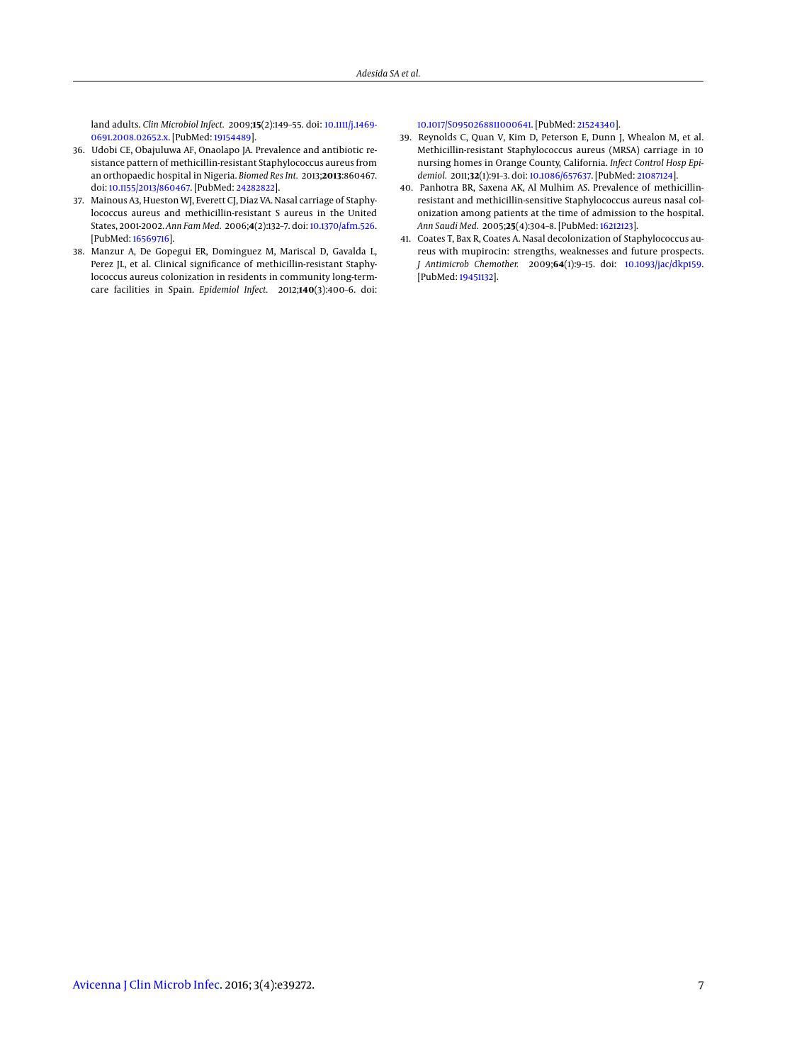land adults. *Clin Microbiol Infect.* 2009;**15**(2):149–55. doi: [10.1111/j.1469-](http://dx.doi.org/10.1111/j.1469-0691.2008.02652.x) [0691.2008.02652.x.](http://dx.doi.org/10.1111/j.1469-0691.2008.02652.x) [PubMed: [19154489\]](http://www.ncbi.nlm.nih.gov/pubmed/19154489).

- <span id="page-6-0"></span>36. Udobi CE, Obajuluwa AF, Onaolapo JA. Prevalence and antibiotic resistance pattern of methicillin-resistant Staphylococcus aureus from an orthopaedic hospital in Nigeria. *Biomed Res Int.* 2013;**2013**:860467. doi: [10.1155/2013/860467.](http://dx.doi.org/10.1155/2013/860467) [PubMed: [24282822\]](http://www.ncbi.nlm.nih.gov/pubmed/24282822).
- <span id="page-6-1"></span>37. Mainous A3, Hueston WJ, Everett CJ, Diaz VA. Nasal carriage of Staphylococcus aureus and methicillin-resistant S aureus in the United States, 2001-2002. *Ann Fam Med.* 2006;**4**(2):132–7. doi: [10.1370/afm.526.](http://dx.doi.org/10.1370/afm.526) [PubMed: [16569716\]](http://www.ncbi.nlm.nih.gov/pubmed/16569716).
- <span id="page-6-2"></span>38. Manzur A, De Gopegui ER, Dominguez M, Mariscal D, Gavalda L, Perez JL, et al. Clinical significance of methicillin-resistant Staphylococcus aureus colonization in residents in community long-termcare facilities in Spain. *Epidemiol Infect.* 2012;**140**(3):400–6. doi:

[10.1017/S0950268811000641.](http://dx.doi.org/10.1017/S0950268811000641) [PubMed: [21524340\]](http://www.ncbi.nlm.nih.gov/pubmed/21524340).

- <span id="page-6-3"></span>39. Reynolds C, Quan V, Kim D, Peterson E, Dunn J, Whealon M, et al. Methicillin-resistant Staphylococcus aureus (MRSA) carriage in 10 nursing homes in Orange County, California. *Infect Control Hosp Epidemiol.* 2011;**32**(1):91–3. doi: [10.1086/657637.](http://dx.doi.org/10.1086/657637) [PubMed: [21087124\]](http://www.ncbi.nlm.nih.gov/pubmed/21087124).
- <span id="page-6-4"></span>40. Panhotra BR, Saxena AK, Al Mulhim AS. Prevalence of methicillinresistant and methicillin-sensitive Staphylococcus aureus nasal colonization among patients at the time of admission to the hospital. *Ann Saudi Med.* 2005;**25**(4):304–8. [PubMed: [16212123\]](http://www.ncbi.nlm.nih.gov/pubmed/16212123).
- <span id="page-6-5"></span>41. Coates T, Bax R, Coates A. Nasal decolonization of Staphylococcus aureus with mupirocin: strengths, weaknesses and future prospects. *J Antimicrob Chemother.* 2009;**64**(1):9–15. doi: [10.1093/jac/dkp159.](http://dx.doi.org/10.1093/jac/dkp159) [PubMed: [19451132\]](http://www.ncbi.nlm.nih.gov/pubmed/19451132).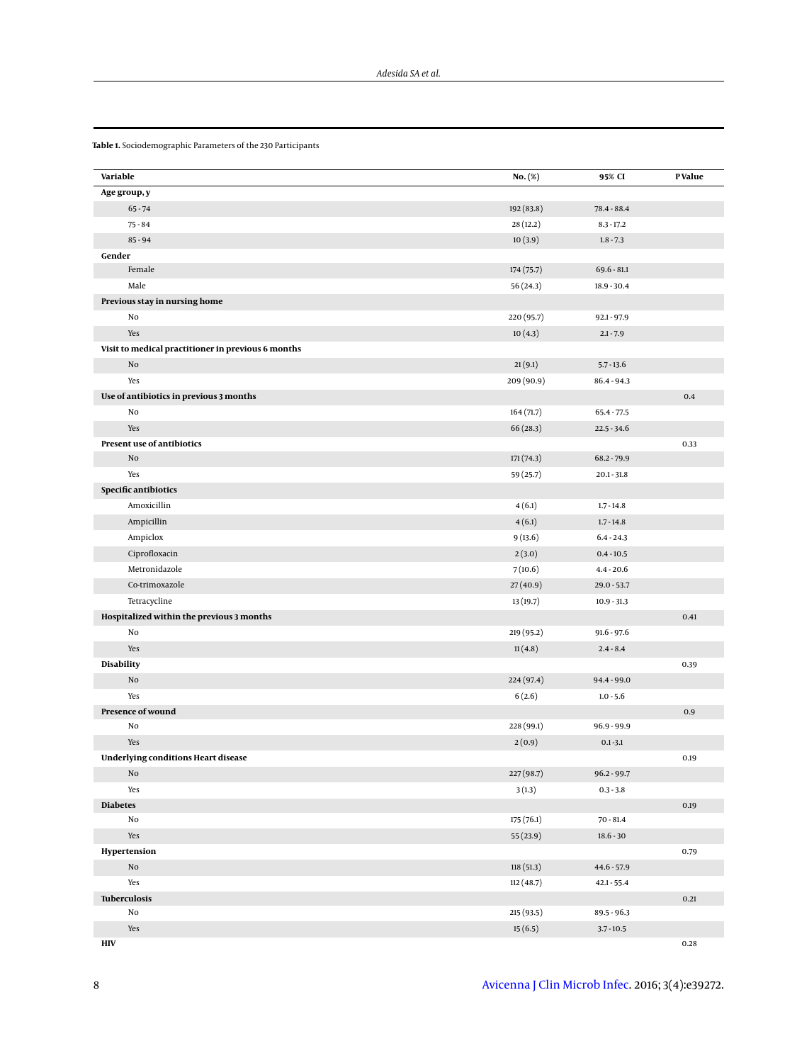| Variable                                           | No. (%)    | 95% CI        | P Value  |
|----------------------------------------------------|------------|---------------|----------|
| Age group, y                                       |            |               |          |
| $65 - 74$                                          | 192 (83.8) | 78.4 - 88.4   |          |
| $75 - 84$                                          | 28 (12.2)  | $8.3 - 17.2$  |          |
| $85 - 94$                                          | 10(3.9)    | $1.8 - 7.3$   |          |
| Gender                                             |            |               |          |
| Female                                             | 174 (75.7) | $69.6 - 81.1$ |          |
| Male                                               | 56 (24.3)  | $18.9 - 30.4$ |          |
| Previous stay in nursing home                      |            |               |          |
| No                                                 | 220 (95.7) | $92.1 - 97.9$ |          |
| Yes                                                | 10(4.3)    | $2.1 - 7.9$   |          |
| Visit to medical practitioner in previous 6 months |            |               |          |
| $\rm No$                                           | 21(9.1)    | $5.7 - 13.6$  |          |
| Yes                                                | 209 (90.9) | $86.4 - 94.3$ |          |
| Use of antibiotics in previous 3 months            |            |               | 0.4      |
| No                                                 | 164(71.7)  | $65.4 - 77.5$ |          |
| Yes                                                | 66(28.3)   | $22.5 - 34.6$ |          |
| Present use of antibiotics                         |            |               | 0.33     |
| No                                                 | 171(74.3)  | 68.2 - 79.9   |          |
| Yes                                                | 59 (25.7)  | $20.1 - 31.8$ |          |
| Specific antibiotics                               |            |               |          |
| Amoxicillin                                        | 4(6.1)     | $1.7 - 14.8$  |          |
| Ampicillin                                         | 4(6.1)     | $1.7 - 14.8$  |          |
| Ampiclox                                           | 9(13.6)    | $6.4 - 24.3$  |          |
| Ciprofloxacin                                      | 2(3.0)     | $0.4 - 10.5$  |          |
| Metronidazole                                      | 7(10.6)    | $4.4 - 20.6$  |          |
| Co-trimoxazole                                     | 27(40.9)   | $29.0 - 53.7$ |          |
| Tetracycline                                       | 13(19.7)   | $10.9 - 31.3$ |          |
| Hospitalized within the previous 3 months          |            |               | 0.41     |
| No                                                 | 219 (95.2) | $91.6 - 97.6$ |          |
| Yes                                                | 11(4.8)    | $2.4 - 8.4$   |          |
| Disability                                         |            |               | 0.39     |
| $\rm No$                                           | 224 (97.4) | $94.4 - 99.0$ |          |
| Yes                                                | 6(2.6)     | $1.0 - 5.6$   |          |
| Presence of wound                                  |            |               | $0.9\,$  |
| No                                                 | 228 (99.1) | $96.9 - 99.9$ |          |
| Yes                                                | 2(0.9)     | $0.1 - 3.1$   |          |
| <b>Underlying conditions Heart disease</b>         |            |               | 0.19     |
| $\rm No$                                           | 227 (98.7) | $96.2 - 99.7$ |          |
| Yes                                                | 3(1.3)     | $0.3 - 3.8$   |          |
| <b>Diabetes</b>                                    |            |               | 0.19     |
| No                                                 | 175(76.1)  | $70 - 81.4$   |          |
| Yes                                                | 55 (23.9)  | $18.6 - 30$   |          |
| Hypertension                                       |            |               | 0.79     |
| $\rm No$                                           | 118(51.3)  | $44.6 - 57.9$ |          |
| Yes                                                | 112(48.7)  | $42.1 - 55.4$ |          |
| Tuberculosis                                       |            |               | 0.21     |
| No                                                 | 215 (93.5) | 89.5 - 96.3   |          |
| Yes                                                | 15(6.5)    | $3.7 - 10.5$  |          |
| $\mathbf{H}\mathbf{I}\mathbf{V}$                   |            |               | $0.28\,$ |

<span id="page-7-0"></span>**Table 1.** Sociodemographic Parameters of the 230 Participants